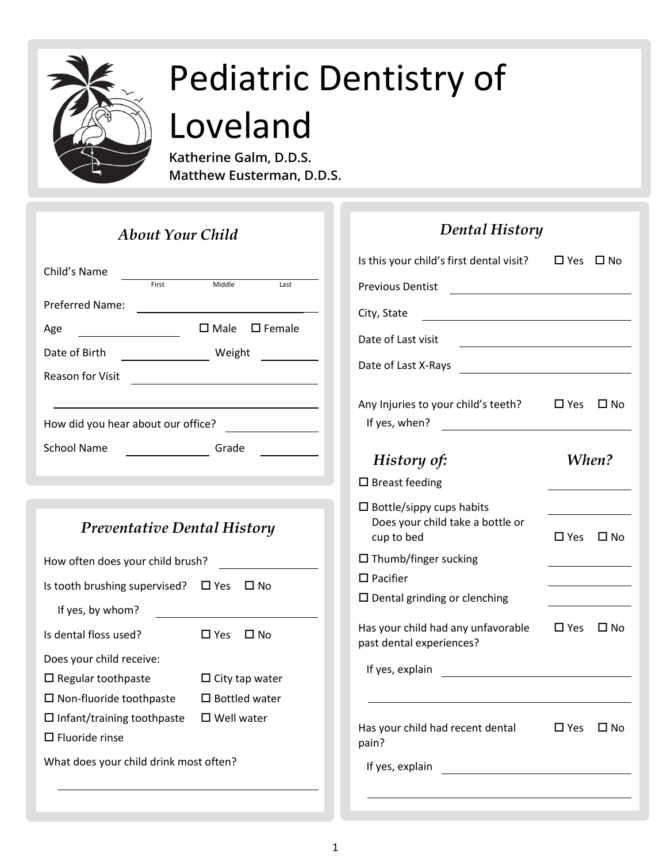

**Katherine Galm, D.D.S. Matthew Eusterman, D.D.S.**

| <b>About Your Child</b>            |       |        |                                 |
|------------------------------------|-------|--------|---------------------------------|
| Child's Name                       | First | Middle | Last                            |
| Preferred Name:                    |       |        |                                 |
| Age                                |       |        | $\square$ Male $\square$ Female |
| Date of Birth                      |       | Weight |                                 |
| <b>Reason for Visit</b>            |       |        |                                 |
|                                    |       |        |                                 |
| How did you hear about our office? |       |        |                                 |
| <b>School Name</b>                 |       | Grade  |                                 |
|                                    |       |        |                                 |

# *Preventative Dental History*

| How often does your child brush?       |                       |
|----------------------------------------|-----------------------|
| Is tooth brushing supervised?          | $\square$ Yes<br>□ No |
| If yes, by whom?                       |                       |
| Is dental floss used?                  | □ Yes<br>ΠN∩          |
| Does your child receive:               |                       |
| $\Box$ Regular toothpaste              | $\Box$ City tap water |
| $\Box$ Non-fluoride toothpaste         | $\Box$ Bottled water  |
| $\Box$ Infant/training toothpaste      | $\Box$ Well water     |
| $\square$ Fluoride rinse               |                       |
| What does your child drink most often? |                       |

| <b>Dental History</b>                                                                                     |               |            |
|-----------------------------------------------------------------------------------------------------------|---------------|------------|
| Is this your child's first dental visit?                                                                  | $\square$ Yes | □ No       |
| <b>Previous Dentist</b>                                                                                   |               |            |
| City, State<br><u> 1980 - Johann Stoff, fransk konge</u>                                                  |               |            |
| Date of Last visit                                                                                        |               |            |
| Date of Last X-Rays                                                                                       |               |            |
| Any Injuries to your child's teeth?<br>If yes, when?<br><u> 1980 - Jan Barbara Barat, prima politik (</u> | $\square$ Yes | □ No       |
| History of:                                                                                               | When?         |            |
| $\square$ Breast feeding                                                                                  |               |            |
| $\Box$ Bottle/sippy cups habits<br>Does your child take a bottle or<br>cup to bed                         |               | □ Yes □ No |
| $\Box$ Thumb/finger sucking                                                                               |               |            |
| $\square$ Pacifier                                                                                        |               |            |
| $\square$ Dental grinding or clenching                                                                    |               |            |
| Has your child had any unfavorable<br>past dental experiences?                                            |               | □ Yes □ No |
| If yes, explain                                                                                           |               |            |
|                                                                                                           |               |            |
| Has your child had recent dental<br>pain?                                                                 | $\square$ Yes | □ No       |
| If yes, explain                                                                                           |               |            |
|                                                                                                           |               |            |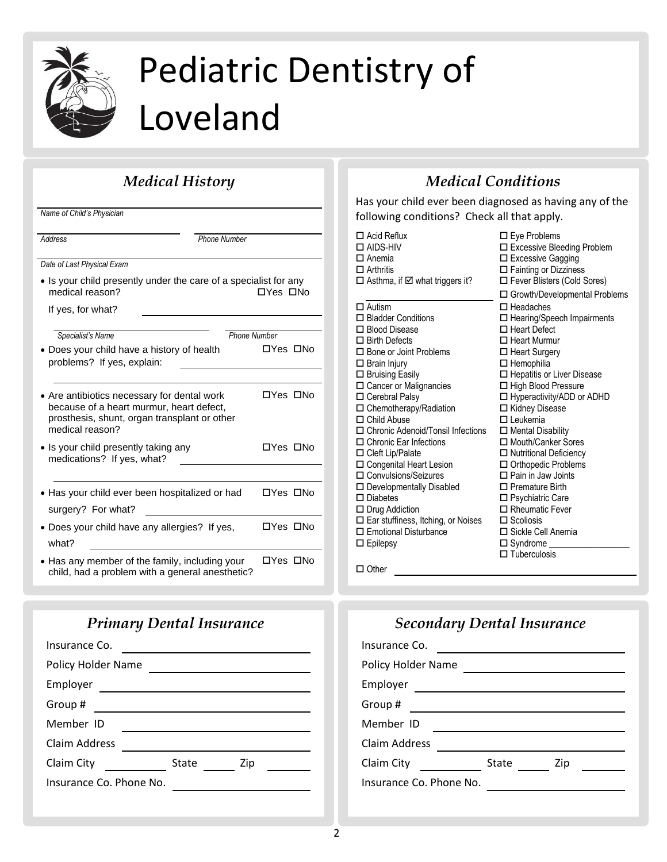

# **Medical History**

| Name of Child's Physician                                                                                                                                  |                     |
|------------------------------------------------------------------------------------------------------------------------------------------------------------|---------------------|
| Address                                                                                                                                                    | <b>Phone Number</b> |
| Date of Last Physical Exam                                                                                                                                 |                     |
| • Is your child presently under the care of a specialist for any<br>medical reason?                                                                        | □Yes □No            |
| If yes, for what?                                                                                                                                          |                     |
|                                                                                                                                                            |                     |
| Specialist's Name                                                                                                                                          | Phone Number        |
| • Does your child have a history of health<br>problems? If yes, explain:                                                                                   | □Yes □No            |
|                                                                                                                                                            |                     |
| • Are antibiotics necessary for dental work<br>because of a heart murmur, heart defect,<br>prosthesis, shunt, organ transplant or other<br>medical reason? | □Yes □No            |
| • Is your child presently taking any<br>medications? If yes, what?                                                                                         | □Yes □No            |
|                                                                                                                                                            |                     |
| Has your child ever been hospitalized or had                                                                                                               | □Yes □No            |
| surgery? For what?                                                                                                                                         |                     |
| • Does your child have any allergies? If yes,<br>what?                                                                                                     | □Yes □No            |
| • Has any member of the family, including your<br>child, had a problem with a general anesthetic?                                                          | □Yes □No            |

## *Primary Dental Insurance*

| Insurance Co.           |              |
|-------------------------|--------------|
| Policy Holder Name      |              |
| Employer                |              |
| Group#                  |              |
| Member ID               |              |
| Claim Address           |              |
| Claim City              | State<br>Zip |
| Insurance Co. Phone No. |              |
|                         |              |

## *Medical Conditions*

Has your child ever been diagnosed as having any of the following conditions? Check all that apply.

| $\square$ Eye Problems<br>□ Excessive Bleeding Problem<br>$\Box$ Excessive Gagging |
|------------------------------------------------------------------------------------|
| $\Box$ Fainting or Dizziness                                                       |
| $\Box$ Fever Blisters (Cold Sores)                                                 |
| □ Growth/Developmental Problems<br>$\Box$ Headaches                                |
| $\Box$ Hearing/Speech Impairments                                                  |
| $\Box$ Heart Defect                                                                |
| $\Box$ Heart Murmur                                                                |
| $\Box$ Heart Surgery                                                               |
| $\Box$ Hemophilia                                                                  |
| □ Hepatitis or Liver Disease                                                       |
| $\Box$ High Blood Pressure                                                         |
| $\Box$ Hyperactivity/ADD or ADHD                                                   |
| □ Kidney Disease<br>$\Box$ Leukemia                                                |
| $\Box$ Mental Disability                                                           |
| □ Mouth/Canker Sores                                                               |
| $\Box$ Nutritional Deficiency                                                      |
| $\Box$ Orthopedic Problems                                                         |
| $\Box$ Pain in Jaw Joints                                                          |
| $\Box$ Premature Birth                                                             |
| □ Psychiatric Care                                                                 |
| $\Box$ Rheumatic Fever                                                             |
| $\Box$ Scoliosis                                                                   |
| □ Sickle Cell Anemia                                                               |
| $\square$ Syndrome $\square$                                                       |
| $\Box$ Tuberculosis                                                                |
|                                                                                    |

□ Other

### *Secondary Dental Insurance* Insurance Co. Policy Holder Name Employer Group # Member ID <u> 1980 - Johann Barbara, martin amerikan basar da</u> Claim Address Claim City State Zip

Insurance Co. Phone No.

2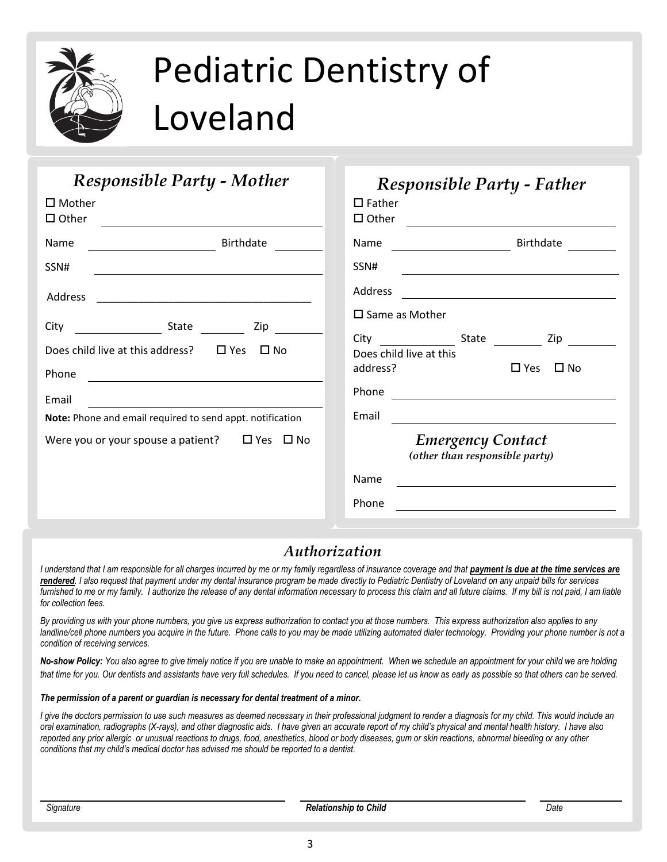

# $\overline{\mathsf{Responseible\,Party\text{-}Mother}}$

| $\square$ Mother<br>$\Box$ Other                                 |                |           |  |
|------------------------------------------------------------------|----------------|-----------|--|
| Name<br>$\overline{\phantom{a}}$                                 |                | Birthdate |  |
| SSN#                                                             |                |           |  |
| Address                                                          |                |           |  |
| City                                                             | State ________ | Zip       |  |
| Does child live at this address? $\Box$ Yes $\Box$ No            |                |           |  |
| Phone                                                            |                |           |  |
| Email                                                            |                |           |  |
| <b>Note:</b> Phone and email required to send appt. notification |                |           |  |
| Were you or your spouse a patient? $\Box$ Yes $\Box$ No          |                |           |  |
|                                                                  |                |           |  |
|                                                                  |                |           |  |

# *Responsible Party - Father*

| $\square$ Father<br>$\Box$ Other |                                                                                                                                                                                                                                      |
|----------------------------------|--------------------------------------------------------------------------------------------------------------------------------------------------------------------------------------------------------------------------------------|
| Name                             | <b>Birthdate</b>                                                                                                                                                                                                                     |
| SSN#                             | <u> 1989 - John Stone, amerikansk politiker (</u>                                                                                                                                                                                    |
| Address                          |                                                                                                                                                                                                                                      |
|                                  | $\square$ Same as Mother                                                                                                                                                                                                             |
| address?                         | State<br>$City \begin{array}{ccc} \hline \end{array}$<br>Zip<br>Does child live at this<br>□ Yes □ No                                                                                                                                |
| Phone                            |                                                                                                                                                                                                                                      |
| Email                            | <u>and the community of the community of the community of the community of the community of the community of the community of the community of the community of the community of the community of the community of the community</u> |
|                                  | <b>Emergency Contact</b><br>(other than responsible party)                                                                                                                                                                           |
| Name                             |                                                                                                                                                                                                                                      |
| Phone                            |                                                                                                                                                                                                                                      |

### *Authorization*

I understand that I am responsible for all charges incurred by me or my family regardless of insurance coverage and that **payment is due at the time services are** *rendered. I also request that payment under my dental insurance program be made directly to Pediatric Dentistry of Loveland on any unpaid bills for services*  furnished to me or my family. I authorize the release of any dental information necessary to process this claim and all future claims. If my bill is not paid, I am liable *for collection fees.*

*By providing us with your phone numbers, you give us express authorization to contact you at those numbers. This express authorization also applies to any*  landline/cell phone numbers you acquire in the future. Phone calls to you may be made utilizing automated dialer technology. Providing your phone number is not a *condition of receiving services.*

*No-show Policy: You also agree to give timely notice if you are unable to make an appointment. When we schedule an appointment for your child we are holding*  that time for you. Our dentists and assistants have very full schedules. If you need to cancel, please let us know as early as possible so that others can be served.

#### *The permission of a parent or guardian is necessary for dental treatment of a minor.*

*I give the doctors permission to use such measures as deemed necessary in their professional judgment to render a diagnosis for my child. This would include an oral examination, radiographs (X-rays), and other diagnostic aids. I have given an accurate report of my child's physical and mental health history. I have also reported any prior allergic or unusual reactions to drugs, food, anesthetics, blood or body diseases, gum or skin reactions, abnormal bleeding or any other conditions that my child's medical doctor has advised me should be reported to a dentist.*